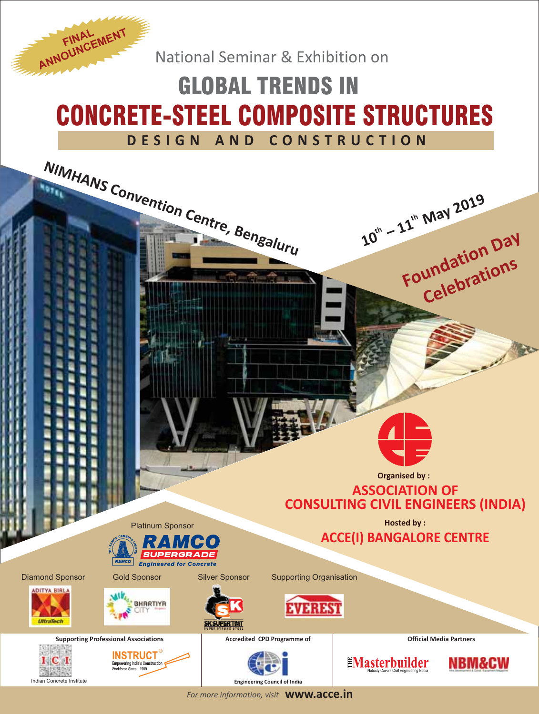National Seminar & Exhibition on

**ANNOUNCEMENT** 

# GLOBAL TRENDS IN CONCRETE-STEEL COMPOSITE STRUCTURES **DESIGN AND CONSTRUCTION**



*For more information, visit* **www.acce.in**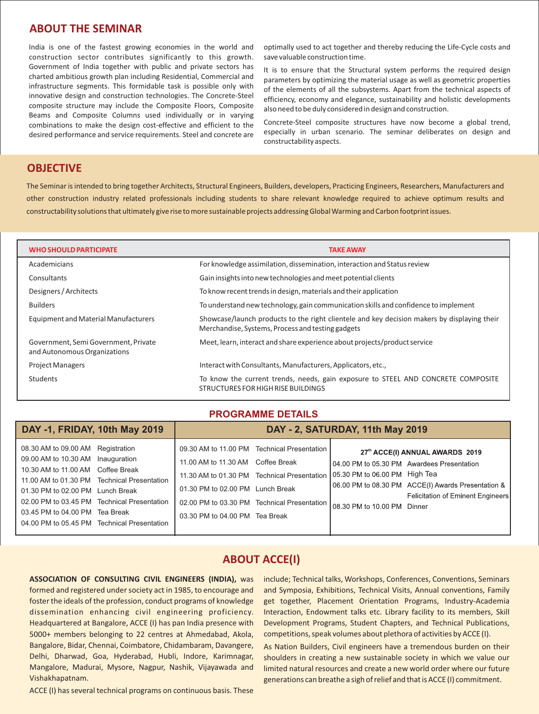## **ABOUT THE SEMINAR**

India is one of the fastest growing economies in the world and construction sector contributes significantly to this growth. Government of India together with public and private sectors has charted ambitious growth plan including Residential, Commercial and infrastructure segments. This formidable task is possible only with innovative design and construction technologies. The Concrete-Steel composite structure may include the Composite Floors, Composite Beams and Composite Columns used individually or in varying combinations to make the design cost-effective and efficient to the desired performance and service requirements. Steel and concrete are optimally used to act together and thereby reducing the Life-Cycle costs and save valuable construction time.

It is to ensure that the Structural system performs the required design parameters by optimizing the material usage as well as geometric properties of the elements of all the subsystems. Apart from the technical aspects of efficiency, economy and elegance, sustainability and holistic developments also need to be duly considered in design and construction.

Concrete-Steel composite structures have now become a global trend, especially in urban scenario. The seminar deliberates on design and constructability aspects.

## **OBJECTIVE**

The Seminar is intended to bring together Architects, Structural Engineers, Builders, developers, Practicing Engineers, Researchers, Manufacturers and other construction industry related professionals including students to share relevant knowledge required to achieve optimum results and constructability solutions that ultimately give rise to more sustainable projects addressing Global Warming and Carbon footprint issues.

| <b>WHO SHOULD PARTICIPATE</b>                                        | <b>TAKE AWAY</b>                                                                                                                                 |
|----------------------------------------------------------------------|--------------------------------------------------------------------------------------------------------------------------------------------------|
| Academicians                                                         | For knowledge assimilation, dissemination, interaction and Status review                                                                         |
| Consultants                                                          | Gain insights into new technologies and meet potential clients                                                                                   |
| Designers / Architects                                               | To know recent trends in design, materials and their application                                                                                 |
| <b>Builders</b>                                                      | To understand new technology, gain communication skills and confidence to implement                                                              |
| Equipment and Material Manufacturers                                 | Showcase/launch products to the right clientele and key decision makers by displaying their<br>Merchandise, Systems, Process and testing gadgets |
| Government, Semi Government, Private<br>and Autonomous Organizations | Meet, learn, interact and share experience about projects/product service                                                                        |
| <b>Project Managers</b>                                              | Interact with Consultants, Manufacturers, Applicators, etc.,                                                                                     |
| Students                                                             | To know the current trends, needs, gain exposure to STEEL AND CONCRETE COMPOSITE<br>STRUCTURES FOR HIGH RISE BUILDINGS                           |

#### **PROGRAMME DETAILS**

| DAY -1, FRIDAY, 10th May 2019                                                                                                                                                                                                                                                                                                  | DAY - 2, SATURDAY, 11th May 2019                                                                        |                                                                                                                                                                           |                             |                                                                                                                                                                                  |  |
|--------------------------------------------------------------------------------------------------------------------------------------------------------------------------------------------------------------------------------------------------------------------------------------------------------------------------------|---------------------------------------------------------------------------------------------------------|---------------------------------------------------------------------------------------------------------------------------------------------------------------------------|-----------------------------|----------------------------------------------------------------------------------------------------------------------------------------------------------------------------------|--|
| 08.30 AM to 09.00 AM Registration<br>09.00 AM to 10.30 AM Inauguration<br>10.30 AM to 11.00 AM Coffee Break<br>11.00 AM to 01.30 PM Technical Presentation<br>01.30 PM to 02.00 PM Lunch Break<br>02.00 PM to 03.45 PM Technical Presentation<br>03.45 PM to 04.00 PM Tea Break<br>04.00 PM to 05.45 PM Technical Presentation | 11.00 AM to 11.30 AM Coffee Break<br>01.30 PM to 02.00 PM Lunch Break<br>03.30 PM to 04.00 PM Tea Break | 09.30 AM to 11.00 PM Technical Presentation<br>11.30 AM to 01.30 PM Technical Presentation   05.30 PM to 06.00 PM High Tea<br>02.00 PM to 03.30 PM Technical Presentation | 08.30 PM to 10.00 PM Dinner | 27th ACCE(I) ANNUAL AWARDS 2019<br>104.00 PM to 05.30 PM Awardees Presentation<br>06.00 PM to 08.30 PM ACCE(I) Awards Presentation &<br><b>Felicitation of Eminent Engineers</b> |  |
|                                                                                                                                                                                                                                                                                                                                |                                                                                                         |                                                                                                                                                                           |                             |                                                                                                                                                                                  |  |

#### **ABOUT ACCE(I)**

**ASSOCIATION OF CONSULTING CIVIL ENGINEERS (INDIA),** was formed and registered under society act in 1985, to encourage and foster the ideals of the profession, conduct programs of knowledge dissemination enhancing civil engineering proficiency. Headquartered at Bangalore, ACCE (I) has pan India presence with 5000+ members belonging to 22 centres at Ahmedabad, Akola, Bangalore, Bidar, Chennai, Coimbatore, Chidambaram, Davangere, Delhi, Dharwad, Goa, Hyderabad, Hubli, Indore, Karimnagar, Mangalore, Madurai, Mysore, Nagpur, Nashik, Vijayawada and Vishakhapatnam.

ACCE (I) has several technical programs on continuous basis. These

include; Technical talks, Workshops, Conferences, Conventions, Seminars and Symposia, Exhibitions, Technical Visits, Annual conventions, Family get together, Placement Orientation Programs, Industry-Academia Interaction, Endowment talks etc. Library facility to its members, Skill Development Programs, Student Chapters, and Technical Publications, competitions, speak volumes about plethora of activities by ACCE (I).

As Nation Builders, Civil engineers have a tremendous burden on their shoulders in creating a new sustainable society in which we value our limited natural resources and create a new world order where our future generations can breathe a sigh of relief and that is ACCE (I) commitment.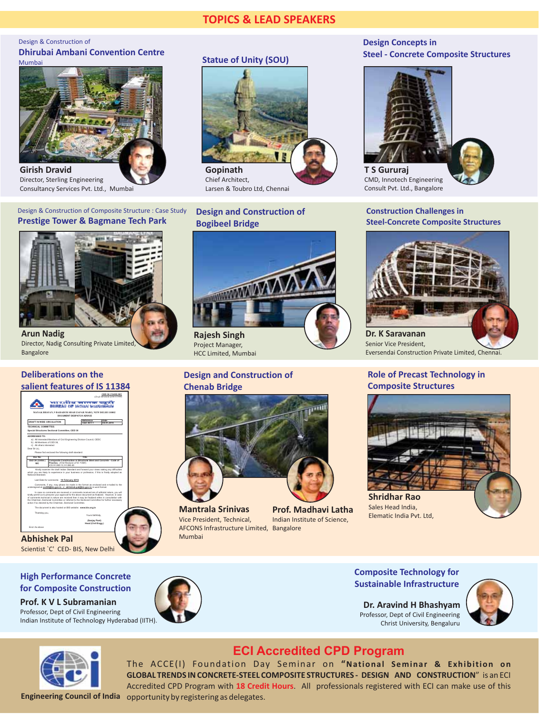# **TOPICS & LEAD SPEAKERS**

#### Design & Construction of **Dhirubai Ambani Convention Centre** Mumbai



**Girish Dravid** Director, Sterling Engineering Consultancy Services Pvt. Ltd., Mumbai

#### Design & Construction of Composite Structure : Case Study **Prestige Tower & Bagmane Tech Park**



**Arun Nadig** Director, Nadig Consulting Private Limited, Bangalore

#### **Deliberations on the salient features of IS 11384**



## **Statue of Unity (SOU)**



Chief Architect, Larsen & Toubro Ltd, Chennai

#### **Design and Construction of Bogibeel Bridge**



**Rajesh Singh** Project Manager, HCC Limited, Mumbai

#### **Design and Construction of Chenab Bridge**



**Mantrala Srinivas** Vice President, Technical, AFCONS Infrastructure Limited, Bangalore Mumbai



#### **Design Concepts in Steel - Concrete Composite Structures**



**T S Gururaj** CMD, Innotech Engineering Consult Pvt. Ltd., Bangalore

#### **Construction Challenges in Steel-Concrete Composite Structures**



Senior Vice President, Eversendai Construction Private Limited, Chennai.

#### **Role of Precast Technology in Composite Structures**



**Shridhar Rao** Sales Head India, Elematic India Pvt. Ltd,



## **Sustainable Infrastructure Sustainable Infrastructure High Performance Concrete for Composite Construction**

**Prof. K V L Subramanian** Professor, Dept of Civil Engineering Indian Institute of Technology Hyderabad (IITH).



**Composite Technology for**

**Dr. Aravind H Bhashyam** Professor, Dept of Civil Engineering Christ University, Bengaluru





**Engineering Council of India** opportunity by registering as delegates.**ECI Accredited CPD Program** Accredited CPD Program with 18 Credit Hours. All professionals registered with ECI can make use of this The ACCE(I) Foundation Day Seminar on **"National Seminar & Exhibition on GLOBAL TRENDS IN CONCRETE-STEEL COMPOSITE STRUCTURES - DESIGN AND CONSTRUCTION**" is an ECI